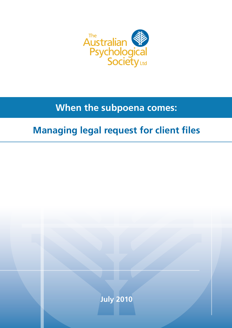

# **When the subpoena comes:**

# **Managing legal request for client files**

**July 2010**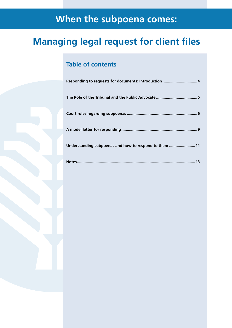# **When the subpoena comes:**

# **Managing legal request for client files**

## **Table of contents**

| Understanding subpoenas and how to respond to them  11 |
|--------------------------------------------------------|
|                                                        |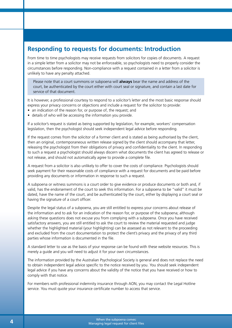## **Responding to requests for documents: Introduction**

From time to time psychologists may receive requests from solicitors for copies of documents. A request in a simple letter from a solicitor may not be enforceable, so psychologists need to properly consider the circumstances before responding. Non-compliance with a request contained in a letter from a solicitor is unlikely to have any penalty attached.

Please note that a court summons or subpoena will **always** bear the name and address of the court, be authenticated by the court either with court seal or signature, and contain a last date for service of that document.

It is however, a professional courtesy to respond to a solicitor's letter and the most basic response should express your privacy concerns or objections and include a request for the solicitor to provide:

- an indication of the reason for, or purpose of, the request; and
- details of who will be accessing the information you provide.

If a solicitor's request is stated as being supported by legislation, for example, workers' compensation legislation, then the psychologist should seek independent legal advice before responding.

If the request comes from the solicitor of a former client and is stated as being authorised by the client, then an original, contemporaneous written release signed by the client should accompany that letter, releasing the psychologist from their obligations of privacy and confidentiality to the client. In responding to such a request a psychologist should always discern what documents the client has agreed to release or not release, and should not automatically agree to provide a complete file.

A request from a solicitor is also unlikely to offer to cover the costs of compliance. Psychologists should seek payment for their reasonable costs of compliance with a request for documents and be paid before providing any documents or information in response to such a request.

A subpoena or witness summons is a court order to give evidence or produce documents or both and, if valid, has the endorsement of the court to seek this information. For a subpoena to be "valid" it must be dated, have the name of the court, and be authenticated by the court, either by displaying a court seal or having the signature of a court officer.

Despite the legal status of a subpoena, you are still entitled to express your concerns about release of the information and to ask for an indication of the reason for, or purpose of the subpoena; although asking these questions does not excuse you from complying with a subpoena. Once you have received satisfactory answers, you are still entitled to ask the court to review the material requested and judge whether the highlighted material (your highlighting) can be assessed as not relevant to the proceeding and excluded from the court documentation to protect the client's privacy and the privacy of any third parties whose information is documented in the file.

A standard letter to use as the basis of your response can be found with these website resources. This is merely a guide and you will need to adjust it for your own circumstances.

The information provided by the Australian Psychological Society is general and does not replace the need to obtain independent legal advice specific to the notice received by you. You should seek independent legal advice if you have any concerns about the validity of the notice that you have received or how to comply with that notice.

For members with professional indemnity insurance through AON, you may contact the Legal Hotline service. You must quote your insurance certificate number to access that service.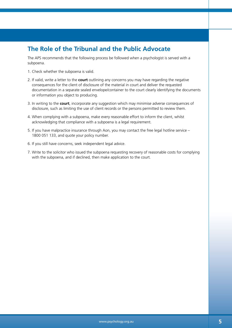## **The Role of the Tribunal and the Public Advocate**

The APS recommends that the following process be followed when a psychologist is served with a subpoena.

- 1. Check whether the subpoena is valid.
- 2. If valid, write a letter to the **court** outlining any concerns you may have regarding the negative consequences for the client of disclosure of the material in court and deliver the requested documentation in a separate sealed envelope/container to the court clearly identifying the documents or information you object to producing.
- 3. In writing to the **court**, incorporate any suggestion which may minimise adverse consequences of disclosure, such as limiting the use of client records or the persons permitted to review them.
- 4. When complying with a subpoena, make every reasonable effort to inform the client, whilst acknowledging that compliance with a subpoena is a legal requirement.
- 5. If you have malpractice insurance through Aon, you may contact the free legal hotline service 1800 051 133, and quote your policy number.
- 6. If you still have concerns, seek independent legal advice.
- 7. Write to the solicitor who issued the subpoena requesting recovery of reasonable costs for complying with the subpoena, and if declined, then make application to the court.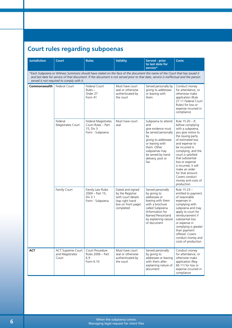## **Court rules regarding subpoenas**

| <b>Jurisdiction</b>                                                                                                                                                                                                                                                                                           | <b>Court</b>                                  | <b>Rules</b>                                                              | <b>Validity</b>                                                                                                  | <b>Served - prior</b><br>to last date for<br>service*                                                                                                                                                     | <b>Costs</b>                                                                                                                                                                                                                                                                                                                                                       |  |
|---------------------------------------------------------------------------------------------------------------------------------------------------------------------------------------------------------------------------------------------------------------------------------------------------------------|-----------------------------------------------|---------------------------------------------------------------------------|------------------------------------------------------------------------------------------------------------------|-----------------------------------------------------------------------------------------------------------------------------------------------------------------------------------------------------------|--------------------------------------------------------------------------------------------------------------------------------------------------------------------------------------------------------------------------------------------------------------------------------------------------------------------------------------------------------------------|--|
| *Each Subpoena or Witness Summons should have stated on the face of the document the name of the Court that has issued it<br>and last date for service of that document. If the document is not served prior to that date, service is ineffectual and the person<br>served is not required to comply with it. |                                               |                                                                           |                                                                                                                  |                                                                                                                                                                                                           |                                                                                                                                                                                                                                                                                                                                                                    |  |
| Commonwealth                                                                                                                                                                                                                                                                                                  | <b>Federal Court</b>                          | Federal Court<br>$Rules -$<br>Order 27<br>Form 41                         | Must have court<br>seal or otherwise<br>authenticated by<br>the court                                            | Served personally by<br>giving to addressee<br>or leaving with<br>them                                                                                                                                    | Conduct money<br>for attendance, or<br>otherwise make<br>application (Rule<br>27.11 Federal Court<br>Rules) for loss or<br>expense incurred in<br>compliance                                                                                                                                                                                                       |  |
|                                                                                                                                                                                                                                                                                                               | Federal<br>Magistrates Court                  | Federal Magistrates<br>Court Rules - Part<br>15, Div 3<br>Form - Subpoena | Must have court<br>seal                                                                                          | Subpoena to attend<br>and<br>give evidence must<br>be served personally<br>by<br>giving to addressee<br>or leaving with<br>them. Other<br>subpoenas may<br>be served by hand<br>delivery, post or<br>fax. | Rule 15.20 - If,<br>before complying<br>with a subpoena,<br>you give notice to<br>the issuing party<br>of estimated loss<br>and expense to<br>be incurred in<br>complying, and the<br>court is satisfied<br>that substantial<br>loss or expense<br>is incurred, it will<br>make an order<br>for that amount.<br>Covers conduct<br>money and costs of<br>production |  |
|                                                                                                                                                                                                                                                                                                               | Family Court                                  | Family Law Rules<br>$2004 - Part 15$ ,<br>Div 3.1<br>Form - Subpoena      | Dated and signed<br>by the Registrar<br>with court details<br>(top right hand<br>box on front page)<br>completed | Served personally<br>by giving to<br>addressee or<br>leaving with them<br>with a brochure<br>called Subpoena<br>(Information for<br>Named Person) and<br>by explaining nature<br>of document              | Rule 15.23 -<br>entitled to payment<br>of reasonable<br>expenses in<br>complying with<br>subpoena and may<br>apply to court for<br>reimbursement if<br>substantial loss<br>or expense in<br>complying is greater<br>than payment<br>offered. Covers<br>conduct money and<br>costs of production                                                                    |  |
| <b>ACT</b>                                                                                                                                                                                                                                                                                                    | ACT Supreme Court<br>and Magistrates<br>Court | Court Procedure<br>Rules 2006 - Part<br>6.9<br>Form 6.10                  | Must have court<br>seal or otherwise<br>authenticated by<br>the court                                            | Served personally<br>by giving to<br>addressee or leaving<br>with them after<br>explaining nature of<br>document                                                                                          | Conduct money<br>for attendance, or<br>otherwise make<br>application (Reg<br>66.11) for loss or<br>expense incurred in<br>compliance                                                                                                                                                                                                                               |  |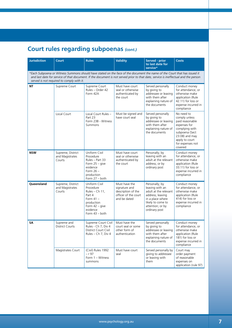## **Court rules regarding subpoenas** *(cont.)*

| <b>Jurisdiction</b>                                                                                                                                                                                                                                                                                           | <b>Court</b>                                   | <b>Rules</b>                                                                                                                          | <b>Validity</b>                                                                              | Served - prior<br>to last date for<br>service*                                                                                                               | <b>Costs</b>                                                                                                                                                          |
|---------------------------------------------------------------------------------------------------------------------------------------------------------------------------------------------------------------------------------------------------------------------------------------------------------------|------------------------------------------------|---------------------------------------------------------------------------------------------------------------------------------------|----------------------------------------------------------------------------------------------|--------------------------------------------------------------------------------------------------------------------------------------------------------------|-----------------------------------------------------------------------------------------------------------------------------------------------------------------------|
| *Each Subpoena or Witness Summons should have stated on the face of the document the name of the Court that has issued it<br>and last date for service of that document. If the document is not served prior to that date, service is ineffectual and the person<br>served is not required to comply with it. |                                                |                                                                                                                                       |                                                                                              |                                                                                                                                                              |                                                                                                                                                                       |
| ΝT                                                                                                                                                                                                                                                                                                            | Supreme Court                                  | Supreme Court<br>Rules - Order 42<br>Form 42A                                                                                         | Must have court<br>seal or otherwise<br>authenticated by<br>the court                        | Served personally<br>by giving to<br>addressee or leaving<br>with them after<br>explaining nature of<br>the documents                                        | Conduct money<br>for attendance, or<br>otherwise make<br>application (Rule<br>42.11) for loss or<br>expense incurred in<br>compliance                                 |
|                                                                                                                                                                                                                                                                                                               | Local Court                                    | Local Court Rules -<br>Part 23<br>Form 23B - Witness<br>Summons                                                                       | Must be signed and<br>have court seal                                                        | Served personally<br>by giving to<br>addressee or leaving<br>with them after<br>explaining nature of<br>the documents                                        | No need to<br>comply unless<br>paid reasonable<br>expenses for<br>complying with<br>subpoena (Sect<br>23.08) and may<br>apply to court<br>for expenses not<br>covered |
| <b>NSW</b>                                                                                                                                                                                                                                                                                                    | Supreme, District<br>and Magistrates<br>Courts | Uniform Civil<br>Procedure<br>Rules - Part 33<br>Form $25 -$ give<br>evidence<br>Form $26 -$<br>production<br>Form 27 - both          | Must have court<br>seal or otherwise<br>authenticated by<br>the court                        | Personally; by<br>leaving with an<br>adult at the relevant<br>address; or by<br>ordinary post                                                                | Conduct money<br>for attendance, or<br>otherwise make<br>application (Rule<br>33.11) for loss or<br>expense incurred in<br>compliance                                 |
| Queensland                                                                                                                                                                                                                                                                                                    | Supreme, District<br>and Magistrates<br>Courts | Uniform Civil<br>Procedure<br>Rules $-$ Ch 11,<br>Part 4<br>Form $41 -$<br>production<br>Form 42 - give<br>evidence<br>Form 43 - both | Must have the<br>signature and<br>description of the<br>officer of the court<br>and be dated | Personally; by<br>leaving with an<br>adult at the relevant<br>address; leaving<br>in a place where<br>likely to come to<br>attention; or by<br>ordinary post | Conduct money<br>for attendance, or<br>otherwise make<br>application (Rule<br>414) for loss or<br>expense incurred in<br>compliance                                   |
| SΑ                                                                                                                                                                                                                                                                                                            | Supreme and<br><b>District Courts</b>          | Supreme Court Civil<br>Rules - Ch 7, Div 4<br>District Court Civil<br>Rules - Ch 7, Div 4                                             | Must have the<br>court seal or some<br>other form of<br>authentication                       | Served personally<br>by giving to<br>addressee or leaving<br>with them after<br>explaining nature of<br>the documents                                        | Conduct money<br>for attendance, or<br>otherwise make<br>application (Rule<br>181) for loss or<br>expense incurred in<br>compliance                                   |
|                                                                                                                                                                                                                                                                                                               | Magistrates Court                              | (Civil) Rules 1992<br>– r 97<br>Form 1 - Witness<br>summons                                                                           | Must have court<br>seal                                                                      | Served personally by<br>giving to addressee<br>or leaving with<br>them                                                                                       | Court may<br>order payment<br>of reasonable<br>expenses on<br>application (rule 97)                                                                                   |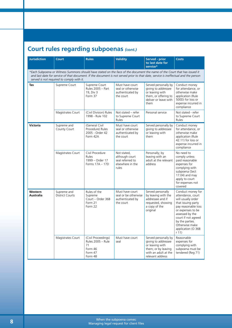## **Court rules regarding subpoenas** *(cont.)*

| <b>Jurisdiction</b>                                                                                                                                                                                                                                                                                           | <b>Court</b>                          | <b>Rules</b>                                                                    | <b>Validity</b>                                                                | <b>Served - prior</b><br>to last date for<br>service*                                                                             | <b>Costs</b>                                                                                                                                                                                                                                 |  |
|---------------------------------------------------------------------------------------------------------------------------------------------------------------------------------------------------------------------------------------------------------------------------------------------------------------|---------------------------------------|---------------------------------------------------------------------------------|--------------------------------------------------------------------------------|-----------------------------------------------------------------------------------------------------------------------------------|----------------------------------------------------------------------------------------------------------------------------------------------------------------------------------------------------------------------------------------------|--|
| *Each Subpoena or Witness Summons should have stated on the face of the document the name of the Court that has issued it<br>and last date for service of that document. If the document is not served prior to that date, service is ineffectual and the person<br>served is not required to comply with it. |                                       |                                                                                 |                                                                                |                                                                                                                                   |                                                                                                                                                                                                                                              |  |
| Tas                                                                                                                                                                                                                                                                                                           | Supreme Court                         | Supreme Court<br>Rules 2005 - Part<br>19, Div 3<br>Form 37                      | Must have court<br>seal or otherwise<br>authenticated by<br>the court          | Served personally by<br>giving to addressee<br>or leaving with<br>them, or offering to<br>deliver or leave with<br>them           | Conduct money<br>for attendance, or<br>otherwise make<br>application (Rule<br>500D) for loss or<br>expense incurred in<br>compliance                                                                                                         |  |
|                                                                                                                                                                                                                                                                                                               | Magistrates Court                     | (Civil Division) Rules<br>1998 - Rule 102                                       | Not stated - refer<br>to Supreme Court<br>Rules                                | Personal service                                                                                                                  | Not stated - refer<br>to Supreme Court<br>Rules                                                                                                                                                                                              |  |
| <b>Victoria</b>                                                                                                                                                                                                                                                                                               | Supreme and<br>County Court           | (General Civil<br>Procedure) Rules<br>2005 - Order 42<br>Form 42A               | Must have court<br>seal or otherwise<br>authenticated by<br>the court          | Served personally by<br>giving to addressee<br>or leaving with<br>them                                                            | Conduct money<br>for attendance, or<br>otherwise make<br>application (Rule<br>42.11) for loss or<br>expense incurred in<br>compliance                                                                                                        |  |
|                                                                                                                                                                                                                                                                                                               | Magistrates Court                     | Civil Procedure<br>Rules<br>1999 - Order 17<br>Forms 17A - 17D                  | Not stated,<br>although court<br>seal referred to<br>elsewhere in the<br>rules | Personally; by<br>leaving with an<br>adult at the relevant<br>address                                                             | No need to<br>comply unless<br>paid reasonable<br>expenses for<br>complying with<br>subpoena (Sect<br>17.04) and may<br>apply to court<br>for expenses not<br>covered                                                                        |  |
| Western<br>Australia                                                                                                                                                                                                                                                                                          | Supreme and<br><b>District Courts</b> | Rules of the<br>Supreme<br>Court - Order 36B<br>Form 21<br>Form 22              | Must have court<br>seal or be otherwise<br>authenticated by<br>the court       | Served personally<br>by leaving with the<br>addressee and if<br>requested, showing<br>a copy of the<br>original                   | Conduct money for<br>attendance, court<br>will usually order<br>that issuing party<br>pay reasonable loss<br>or expenses to be<br>assessed by the<br>court if not agreed<br>by the parties.<br>Otherwise make<br>application (O 36B<br>r(11) |  |
|                                                                                                                                                                                                                                                                                                               | Magistrates Court                     | (Civil Proceedings)<br>Rules 2005 - Rule<br>71<br>Form 46<br>Form 47<br>Form 48 | Must have court<br>seal                                                        | Served personally by<br>giving to addressee<br>or leaving with<br>them; or by leaving<br>with an adult at the<br>relevant address | Reasonable<br>expenses for<br>complying with<br>subpoena must be<br>tendered (Reg 71)                                                                                                                                                        |  |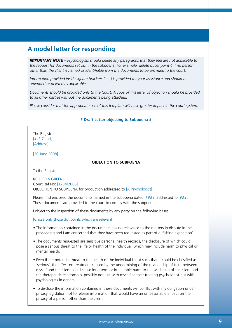## **A model letter for responding**

*IMPORTANT NOTE – Psychologists should delete any paragraphs that they feel are not applicable to the request for documents set out in the subpoena. For example, delete bullet point 4 if no person other than the client is named or identifiable from the documents to be provided to the court.*

*Information provided inside square brackets […..] is provided for your assistance and should be amended or deleted as applicable.*

*Documents should be provided only to the Court. A copy of this letter of objection should be provided to all other parties without the documents being attached.*

*Please consider that the appropriate use of this template will have greater impact in the court system.*

#### **# Draft Letter objecting to Subpoena #**

The Registrar [### Court] [Address]

[30 June 2008]

#### **OBJECTION TO SUBPOENA**

To the Registrar

RE: [RED v GREEN] Court Ref No: [1234/2008] OBJECTION TO SUBPOENA for production addressed to [A Psychologist]

Please find enclosed the documents named in the subpoena dated  $[ # # # #]$  addressed to  $[ # # # #].$ These documents are provided to the court to comply with the subpoena.

I object to the inspection of these documents by any party on the following bases:

[Chose only those dot points which are relevant]

- The information contained in the documents has no relevance to the matters in dispute in the proceeding and I am concerned that they have been requested as part of a 'fishing expedition'.
- The documents requested are sensitive personal health records, the disclosure of which could pose a serious threat to the life or health of the individual, which may include harm to physical or mental health.
- Even if the potential threat to the health of the individual is not such that it could be classified as 'serious', the effect on treatment caused by the undermining of the relationship of trust between myself and the client could cause long term or irreparable harm to the wellbeing of the client and the therapeutic relationship, possibly not just with myself as their treating psychologist but with psychologists in general.
- To disclose the information contained in these documents will conflict with my obligation under privacy legislation not to release information that would have an unreasonable impact on the privacy of a person other than the client.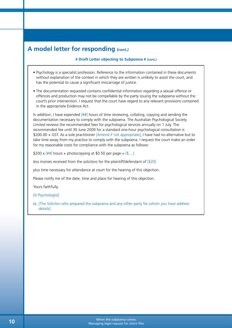## **A model letter for responding** *(cont.)*

#### **# Draft Letter objecting to Subpoena #** *(cont.)*

- Psychology is a specialist profession. Reference to the information contained in these documents without explanation of the context in which they are written is unlikely to assist the court, and has the potential to cause a significant miscarriage of justice.
- The documentation requested contains confidential information regarding a sexual offence or offences and production may not be compellable by the party issuing the subpoena without the court's prior intervention. I request that the court have regard to any relevant provisions contained in the appropriate Evidence Act.

In addition, I have expended [##] hours of time reviewing, collating, copying and sending the documentation necessary to comply with the subpoena. The Australian Psychological Society Limited reviews the recommended fees for psychological services annually on 1 July. The recommended fee until 30 June 2009 for a standard one-hour psychological consultation is \$200.00 + GST. As a sole practitioner [Amend if not appropriate], I have had no alternative but to take time away from my practice to comply with the subpoena. I request the court make an order for my reasonable costs for compliance with the subpoena as follows:

\$200 x  $[$ ##] hours + photocopying at \$0.50 per page =  $[$ \$....]

less monies received from the solicitors for the plaintiff/defendant of [\$20]

plus time necessary for attendance at court for the hearing of this objection.

Please notify me of the date, time and place for hearing of this objection.

Yours faithfully,

[A Psychologist]

cc. [The Solicitor who prepared the subpoena and any other party for whom you have address details]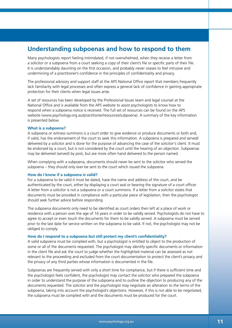## **Understanding subpoenas and how to respond to them**

Many psychologists report feeling intimidated, if not overwhelmed, when they receive a letter from a solicitor or a subpoena from a court seeking a copy of their client's file or specific parts of their file. It is understandably daunting on the first occasion, and probably never ceases to feel intrusive and undermining of a practitioner's confidence in the principles of confidentiality and privacy.

The professional advisory and support staff at the APS National Office report that members frequently lack familiarity with legal processes and often express a general lack of confidence in gaining appropriate protection for their clients when legal issues arise.

A set of resources has been developed by the Professional Issues team and legal counsel at the National Office and is available from the APS website to assist psychologists to know how to respond when a subpoena notice is received. The full set of resources can be found on the APS website (www.psychology.org.au/practitioner/resources/subpoena). A summary of the key information is presented below.

#### **What is a subpoena?**

A subpoena or witness summons is a court order to give evidence or produce documents or both and, if valid, has the endorsement of the court to seek this information. A subpoena is prepared and served/ delivered by a solicitor and is done for the purpose of advancing the case of the solicitor's client. It must be endorsed by a court, but is not considered by the court until the hearing of an objection. Subpoenas may be delivered (served) by post, but are more often hand delivered to the person named.

When complying with a subpoena, documents should never be sent to the solicitor who served the subpoena – they should only ever be sent to the court which issued the subpoena.

#### **How do I know if a subpoena is valid?**

For a subpoena to be valid it must be dated, have the name and address of the court, and be authenticated by the court, either by displaying a court seal or bearing the signature of a court officer. A letter from a solicitor is not a subpoena or a court summons. If a letter from a solicitor states that documents must be provided in compliance with a particular piece of legislation, then the psychologist should seek further advice before responding.

The subpoena documents only need to be identified as court orders then left at a place of work or residence with a person over the age of 16 years in order to be validly served. Psychologists do not have to agree to accept or even touch the documents for them to be validly served. A subpoena must be served prior to the last date for service written on the subpoena to be valid. If not, the psychologist may not be obliged to comply.

#### **How do I respond to a subpoena but still protect my client's confidentiality?**

A valid subpoena must be complied with, but a psychologist is entitled to object to the production of some or all of the documents requested. The psychologist may identify specific documents or information in the client file and ask the court to judge whether the highlighted material can be assessed as not relevant to the proceeding and excluded from the court documentation to protect the client's privacy and the privacy of any third parties whose information is documented in the file.

Subpoenas are frequently served with only a short time for compliance, but if there is sufficient time and the psychologist feels confident, the psychologist may contact the solicitor who prepared the subpoena in order to understand the purpose of the subpoena and to outline the objection to producing any of the documents requested. The solicitor and the psychologist may negotiate an alteration to the terms of the subpoena, taking into account the psychologist's objections. However, if this is not able to be negotiated, the subpoena must be complied with and the documents must be produced for the court.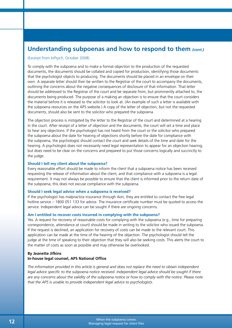### **Understanding subpoenas and how to respond to them** *(cont.)*

#### (Excerpt from *InPsych*, October 2008)

To comply with the subpoena and to make a formal objection to the production of the requested documents, the documents should be collated and copied for production, identifying those documents that the psychologist objects to producing. The documents should be placed in an envelope on their own. A separate letter should then be written to the Registrar of the court to accompany the documents, outlining the concerns about the negative consequences of disclosure of that information. That letter should be addressed to the Registrar of the court and be separate from, but prominently attached to, the documents being produced. The purpose of a making an objection is to ensure that the court considers the material before it is released to the solicitor to look at. (An example of such a letter is available with the subpoena resources on the APS website.) A copy of the letter of objection, but not the requested documents, should also be sent to the solicitor who prepared the subpoena.

The objection process is instigated by the letter to the Registrar of the court and determined at a hearing in the court. After receipt of a letter of objection and the documents, the court will set a time and place to hear any objections. If the psychologist has not heard from the court or the solicitor who prepared the subpoena about the date for hearing of objections shortly before the date for compliance with the subpoena, the psychologist should contact the court and seek details of the time and date for the hearing. A psychologist does not necessarily need legal representation to appear for an objection hearing, but does need to be clear on the concerns and prepared to put those concerns logically and succinctly to the judge.

#### **Should I tell my client about the subpoena?**

Every reasonable effort should be made to inform the client that a subpoena notice has been received requesting the release of information about the client, and that compliance with a subpoena is a legal requirement. It may not always be possible to ensure that the client is informed prior to the return date of the subpoena; this does not excuse compliance with the subpoena.

#### **Should I seek legal advice when a subpoena is received?**

If the psychologist has malpractice insurance through Aon, they are entitled to contact the free legal hotline service – 1800 051 133 for advice. The insurance certificate number must be quoted to access the service. Independent legal advice can be sought if there are ongoing concerns.

#### **Am I entitled to recover costs incurred in complying with the subpoena?**

Yes. A request for recovery of reasonable costs for complying with the subpoena (e.g., time for preparing correspondence, attendance at court) should be made in writing to the solicitor who issued the subpoena. If the request is declined, an application for recovery of costs can be made to the relevant court. This application can be made at the time of the hearing of the objection. The psychologist should tell the judge at the time of speaking to their objection that they will also be seeking costs. This alerts the court to the matter of costs as soon as possible and may otherwise be overlooked.

#### **By Jeanette Jifkins In-house legal counsel, APS National Office**

*The information provided in this article is general and does not replace the need to obtain independent legal advice specific to the subpoena notice received. Independent legal advice should be sought if there are any concerns about the validity of the subpoena notice or how to comply with the notice. Please note that the APS is unable to provide independent legal advice to psychologists.*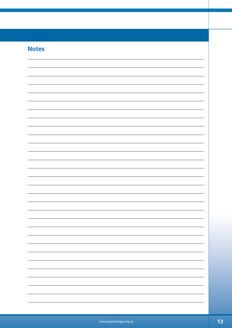## **Notes**

| <b>NOTES</b> |  |  |
|--------------|--|--|
|              |  |  |
|              |  |  |
|              |  |  |
|              |  |  |
|              |  |  |
|              |  |  |
|              |  |  |
|              |  |  |
|              |  |  |
|              |  |  |
|              |  |  |
|              |  |  |
|              |  |  |
|              |  |  |
|              |  |  |
|              |  |  |
|              |  |  |
|              |  |  |
|              |  |  |
|              |  |  |
|              |  |  |
|              |  |  |
|              |  |  |
|              |  |  |
|              |  |  |
|              |  |  |
|              |  |  |
|              |  |  |
|              |  |  |
|              |  |  |
|              |  |  |
|              |  |  |
|              |  |  |
|              |  |  |
|              |  |  |
|              |  |  |
|              |  |  |
|              |  |  |
|              |  |  |
|              |  |  |
|              |  |  |
|              |  |  |
|              |  |  |
|              |  |  |